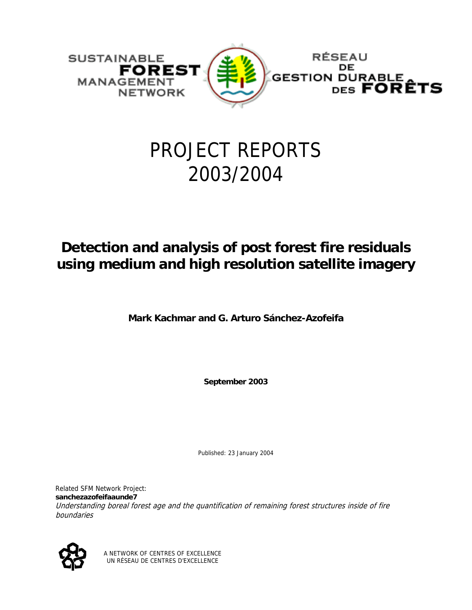

# PROJECT REPORTS 2003/2004

# **Detection and analysis of post forest fire residuals using medium and high resolution satellite imagery**

**Mark Kachmar and G. Arturo Sánchez-Azofeifa** 

**September 2003** 

Published: 23 January 2004

Understanding boreal forest age and the quantification of remaining forest structures inside of fire Related SFM Network Project: **sanchezazofeifaaunde7** boundaries



A NETWORK OF CENTRES OF EXCELLENCE UN RÉSEAU DE CENTRES D'EXCELLENCE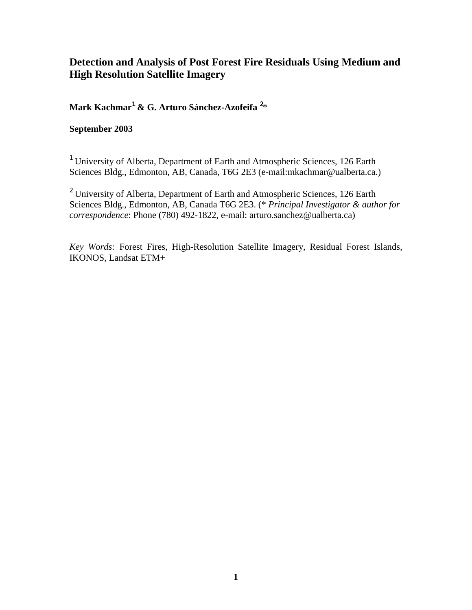# **Detection and Analysis of Post Forest Fire Residuals Using Medium and High Resolution Satellite Imagery**

**Mark Kachmar**<sup>1</sup>  **& G. Arturo Sánchez-Azofeifa** <sup>2</sup> \*

## **September 2003**

<sup>1</sup> University of Alberta, Department of Earth and Atmospheric Sciences, 126 Earth Sciences Bldg., Edmonton, AB, Canada, T6G 2E3 (e-mail:mkachmar@ualberta.ca.)

<sup>2</sup> University of Alberta, Department of Earth and Atmospheric Sciences, 126 Earth Sciences Bldg., Edmonton, AB, Canada T6G 2E3. (\* *Principal Investigator & author for correspondence*: Phone (780) 492-1822, e-mail: arturo.sanchez@ualberta.ca)

*Key Words:* Forest Fires, High-Resolution Satellite Imagery, Residual Forest Islands, IKONOS, Landsat ETM+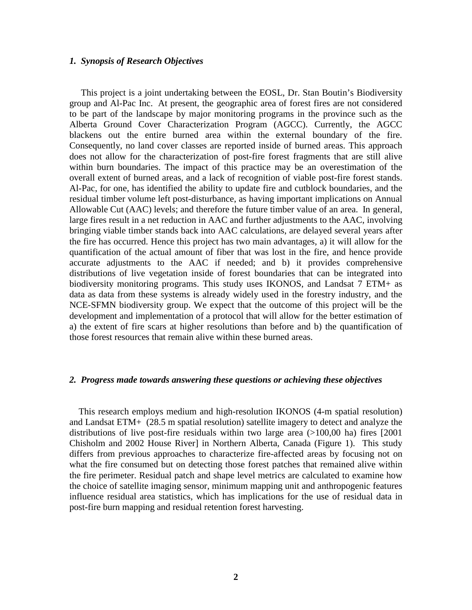#### *1. Synopsis of Research Objectives*

 This project is a joint undertaking between the EOSL, Dr. Stan Boutin's Biodiversity group and Al-Pac Inc. At present, the geographic area of forest fires are not considered to be part of the landscape by major monitoring programs in the province such as the Alberta Ground Cover Characterization Program (AGCC). Currently, the AGCC blackens out the entire burned area within the external boundary of the fire. Consequently, no land cover classes are reported inside of burned areas. This approach does not allow for the characterization of post-fire forest fragments that are still alive within burn boundaries. The impact of this practice may be an overestimation of the overall extent of burned areas, and a lack of recognition of viable post-fire forest stands. Al-Pac, for one, has identified the ability to update fire and cutblock boundaries, and the residual timber volume left post-disturbance, as having important implications on Annual Allowable Cut (AAC) levels; and therefore the future timber value of an area. In general, large fires result in a net reduction in AAC and further adjustments to the AAC, involving bringing viable timber stands back into AAC calculations, are delayed several years after the fire has occurred. Hence this project has two main advantages, a) it will allow for the quantification of the actual amount of fiber that was lost in the fire, and hence provide accurate adjustments to the AAC if needed; and b) it provides comprehensive distributions of live vegetation inside of forest boundaries that can be integrated into biodiversity monitoring programs. This study uses IKONOS, and Landsat 7 ETM+ as data as data from these systems is already widely used in the forestry industry, and the NCE-SFMN biodiversity group. We expect that the outcome of this project will be the development and implementation of a protocol that will allow for the better estimation of a) the extent of fire scars at higher resolutions than before and b) the quantification of those forest resources that remain alive within these burned areas.

#### *2. Progress made towards answering these questions or achieving these objectives*

 This research employs medium and high-resolution IKONOS (4-m spatial resolution) and Landsat ETM+ (28.5 m spatial resolution) satellite imagery to detect and analyze the distributions of live post-fire residuals within two large area (>100,00 ha) fires [2001 Chisholm and 2002 House River] in Northern Alberta, Canada (Figure 1). This study differs from previous approaches to characterize fire-affected areas by focusing not on what the fire consumed but on detecting those forest patches that remained alive within the fire perimeter. Residual patch and shape level metrics are calculated to examine how the choice of satellite imaging sensor, minimum mapping unit and anthropogenic features influence residual area statistics, which has implications for the use of residual data in post-fire burn mapping and residual retention forest harvesting.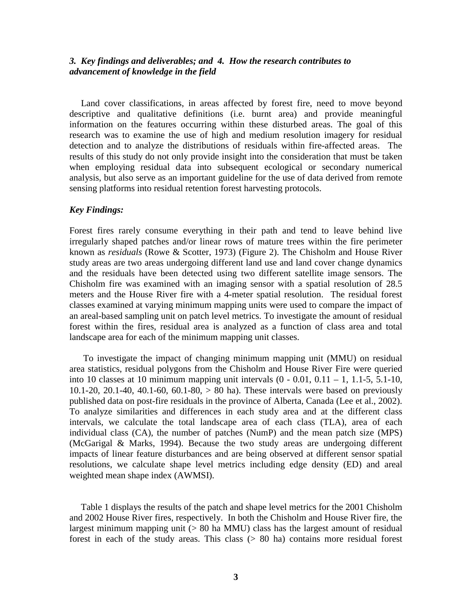#### *3. Key findings and deliverables; and 4. How the research contributes to advancement of knowledge in the field*

 Land cover classifications, in areas affected by forest fire, need to move beyond descriptive and qualitative definitions (i.e. burnt area) and provide meaningful information on the features occurring within these disturbed areas. The goal of this research was to examine the use of high and medium resolution imagery for residual detection and to analyze the distributions of residuals within fire-affected areas. The results of this study do not only provide insight into the consideration that must be taken when employing residual data into subsequent ecological or secondary numerical analysis, but also serve as an important guideline for the use of data derived from remote sensing platforms into residual retention forest harvesting protocols.

#### *Key Findings:*

Forest fires rarely consume everything in their path and tend to leave behind live irregularly shaped patches and/or linear rows of mature trees within the fire perimeter known as *residuals* (Rowe & Scotter, 1973) (Figure 2). The Chisholm and House River study areas are two areas undergoing different land use and land cover change dynamics and the residuals have been detected using two different satellite image sensors. The Chisholm fire was examined with an imaging sensor with a spatial resolution of 28.5 meters and the House River fire with a 4-meter spatial resolution. The residual forest classes examined at varying minimum mapping units were used to compare the impact of an areal-based sampling unit on patch level metrics. To investigate the amount of residual forest within the fires, residual area is analyzed as a function of class area and total landscape area for each of the minimum mapping unit classes.

 To investigate the impact of changing minimum mapping unit (MMU) on residual area statistics, residual polygons from the Chisholm and House River Fire were queried into 10 classes at 10 minimum mapping unit intervals  $(0 - 0.01, 0.11 - 1, 1.1 - 5, 5.1 - 10,$ 10.1-20, 20.1-40, 40.1-60, 60.1-80,  $> 80$  ha). These intervals were based on previously published data on post-fire residuals in the province of Alberta, Canada (Lee et al., 2002). To analyze similarities and differences in each study area and at the different class intervals, we calculate the total landscape area of each class (TLA), area of each individual class (CA), the number of patches (NumP) and the mean patch size (MPS) (McGarigal & Marks, 1994). Because the two study areas are undergoing different impacts of linear feature disturbances and are being observed at different sensor spatial resolutions, we calculate shape level metrics including edge density (ED) and areal weighted mean shape index (AWMSI).

 Table 1 displays the results of the patch and shape level metrics for the 2001 Chisholm and 2002 House River fires, respectively. In both the Chisholm and House River fire, the largest minimum mapping unit (> 80 ha MMU) class has the largest amount of residual forest in each of the study areas. This class (> 80 ha) contains more residual forest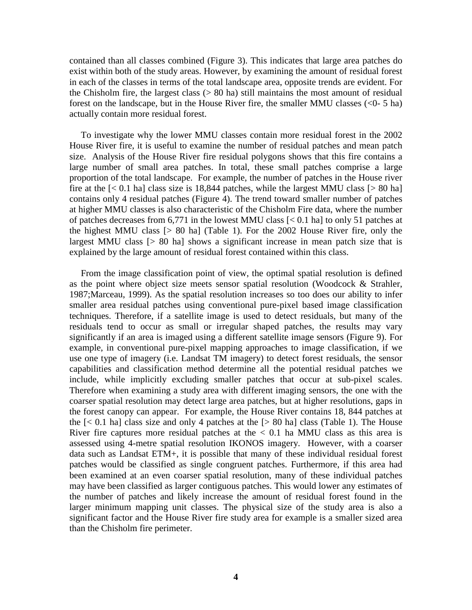contained than all classes combined (Figure 3). This indicates that large area patches do exist within both of the study areas. However, by examining the amount of residual forest in each of the classes in terms of the total landscape area, opposite trends are evident. For the Chisholm fire, the largest class (> 80 ha) still maintains the most amount of residual forest on the landscape, but in the House River fire, the smaller MMU classes (<0- 5 ha) actually contain more residual forest.

 To investigate why the lower MMU classes contain more residual forest in the 2002 House River fire, it is useful to examine the number of residual patches and mean patch size. Analysis of the House River fire residual polygons shows that this fire contains a large number of small area patches. In total, these small patches comprise a large proportion of the total landscape. For example, the number of patches in the House river fire at the  $\lceil 5 \rceil$  hal class size is 18,844 patches, while the largest MMU class  $\lceil 5 \rceil$  80 hal contains only 4 residual patches (Figure 4). The trend toward smaller number of patches at higher MMU classes is also characteristic of the Chisholm Fire data, where the number of patches decreases from 6,771 in the lowest MMU class [< 0.1 ha] to only 51 patches at the highest MMU class [> 80 ha] (Table 1). For the 2002 House River fire, only the largest MMU class [> 80 ha] shows a significant increase in mean patch size that is explained by the large amount of residual forest contained within this class.

 From the image classification point of view, the optimal spatial resolution is defined as the point where object size meets sensor spatial resolution (Woodcock & Strahler, 1987;Marceau, 1999). As the spatial resolution increases so too does our ability to infer smaller area residual patches using conventional pure-pixel based image classification techniques. Therefore, if a satellite image is used to detect residuals, but many of the residuals tend to occur as small or irregular shaped patches, the results may vary significantly if an area is imaged using a different satellite image sensors (Figure 9). For example, in conventional pure-pixel mapping approaches to image classification, if we use one type of imagery (i.e. Landsat TM imagery) to detect forest residuals, the sensor capabilities and classification method determine all the potential residual patches we include, while implicitly excluding smaller patches that occur at sub-pixel scales. Therefore when examining a study area with different imaging sensors, the one with the coarser spatial resolution may detect large area patches, but at higher resolutions, gaps in the forest canopy can appear. For example, the House River contains 18, 844 patches at the  $\lceil$  < 0.1 hal class size and only 4 patches at the  $\lceil$  > 80 hal class (Table 1). The House River fire captures more residual patches at the  $< 0.1$  ha MMU class as this area is assessed using 4-metre spatial resolution IKONOS imagery. However, with a coarser data such as Landsat ETM+, it is possible that many of these individual residual forest patches would be classified as single congruent patches. Furthermore, if this area had been examined at an even coarser spatial resolution, many of these individual patches may have been classified as larger contiguous patches. This would lower any estimates of the number of patches and likely increase the amount of residual forest found in the larger minimum mapping unit classes. The physical size of the study area is also a significant factor and the House River fire study area for example is a smaller sized area than the Chisholm fire perimeter.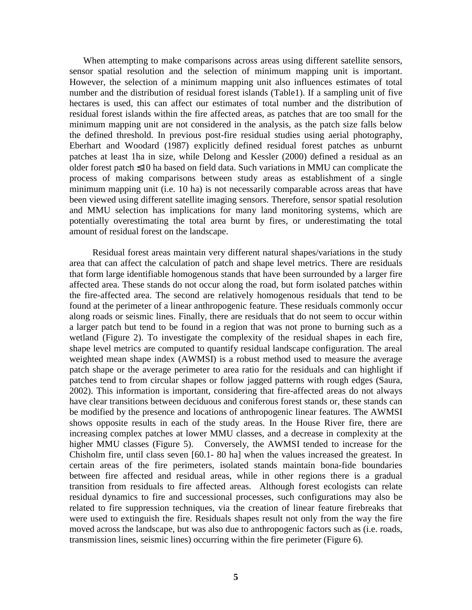When attempting to make comparisons across areas using different satellite sensors, sensor spatial resolution and the selection of minimum mapping unit is important. However, the selection of a minimum mapping unit also influences estimates of total number and the distribution of residual forest islands (Table1). If a sampling unit of five hectares is used, this can affect our estimates of total number and the distribution of residual forest islands within the fire affected areas, as patches that are too small for the minimum mapping unit are not considered in the analysis, as the patch size falls below the defined threshold. In previous post-fire residual studies using aerial photography, Eberhart and Woodard (1987) explicitly defined residual forest patches as unburnt patches at least 1ha in size, while Delong and Kessler (2000) defined a residual as an older forest patch ≤10 ha based on field data. Such variations in MMU can complicate the process of making comparisons between study areas as establishment of a single minimum mapping unit (i.e. 10 ha) is not necessarily comparable across areas that have been viewed using different satellite imaging sensors. Therefore, sensor spatial resolution and MMU selection has implications for many land monitoring systems, which are potentially overestimating the total area burnt by fires, or underestimating the total amount of residual forest on the landscape.

 Residual forest areas maintain very different natural shapes/variations in the study area that can affect the calculation of patch and shape level metrics. There are residuals that form large identifiable homogenous stands that have been surrounded by a larger fire affected area. These stands do not occur along the road, but form isolated patches within the fire-affected area. The second are relatively homogenous residuals that tend to be found at the perimeter of a linear anthropogenic feature. These residuals commonly occur along roads or seismic lines. Finally, there are residuals that do not seem to occur within a larger patch but tend to be found in a region that was not prone to burning such as a wetland (Figure 2). To investigate the complexity of the residual shapes in each fire, shape level metrics are computed to quantify residual landscape configuration. The areal weighted mean shape index (AWMSI) is a robust method used to measure the average patch shape or the average perimeter to area ratio for the residuals and can highlight if patches tend to from circular shapes or follow jagged patterns with rough edges (Saura, 2002). This information is important, considering that fire-affected areas do not always have clear transitions between deciduous and coniferous forest stands or, these stands can be modified by the presence and locations of anthropogenic linear features. The AWMSI shows opposite results in each of the study areas. In the House River fire, there are increasing complex patches at lower MMU classes, and a decrease in complexity at the higher MMU classes (Figure 5). Conversely, the AWMSI tended to increase for the Chisholm fire, until class seven [60.1- 80 ha] when the values increased the greatest. In certain areas of the fire perimeters, isolated stands maintain bona-fide boundaries between fire affected and residual areas, while in other regions there is a gradual transition from residuals to fire affected areas. Although forest ecologists can relate residual dynamics to fire and successional processes, such configurations may also be related to fire suppression techniques, via the creation of linear feature firebreaks that were used to extinguish the fire. Residuals shapes result not only from the way the fire moved across the landscape, but was also due to anthropogenic factors such as (i.e. roads, transmission lines, seismic lines) occurring within the fire perimeter (Figure 6).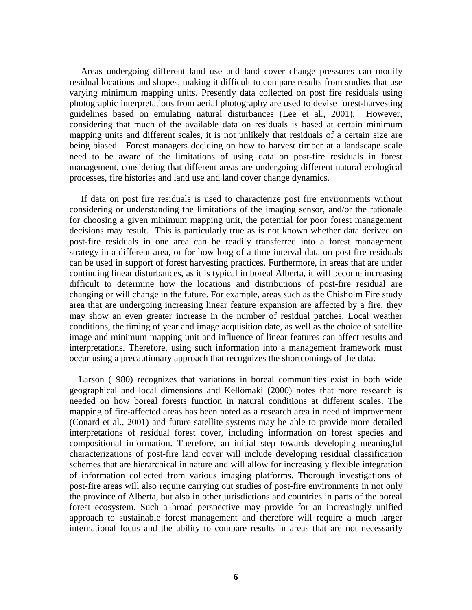Areas undergoing different land use and land cover change pressures can modify residual locations and shapes, making it difficult to compare results from studies that use varying minimum mapping units. Presently data collected on post fire residuals using photographic interpretations from aerial photography are used to devise forest-harvesting guidelines based on emulating natural disturbances (Lee et al., 2001). However, considering that much of the available data on residuals is based at certain minimum mapping units and different scales, it is not unlikely that residuals of a certain size are being biased. Forest managers deciding on how to harvest timber at a landscape scale need to be aware of the limitations of using data on post-fire residuals in forest management, considering that different areas are undergoing different natural ecological processes, fire histories and land use and land cover change dynamics.

 If data on post fire residuals is used to characterize post fire environments without considering or understanding the limitations of the imaging sensor, and/or the rationale for choosing a given minimum mapping unit, the potential for poor forest management decisions may result. This is particularly true as is not known whether data derived on post-fire residuals in one area can be readily transferred into a forest management strategy in a different area, or for how long of a time interval data on post fire residuals can be used in support of forest harvesting practices. Furthermore, in areas that are under continuing linear disturbances, as it is typical in boreal Alberta, it will become increasing difficult to determine how the locations and distributions of post-fire residual are changing or will change in the future. For example, areas such as the Chisholm Fire study area that are undergoing increasing linear feature expansion are affected by a fire, they may show an even greater increase in the number of residual patches. Local weather conditions, the timing of year and image acquisition date, as well as the choice of satellite image and minimum mapping unit and influence of linear features can affect results and interpretations. Therefore, using such information into a management framework must occur using a precautionary approach that recognizes the shortcomings of the data.

 Larson (1980) recognizes that variations in boreal communities exist in both wide geographical and local dimensions and Kellömaki (2000) notes that more research is needed on how boreal forests function in natural conditions at different scales. The mapping of fire-affected areas has been noted as a research area in need of improvement (Conard et al., 2001) and future satellite systems may be able to provide more detailed interpretations of residual forest cover, including information on forest species and compositional information. Therefore, an initial step towards developing meaningful characterizations of post-fire land cover will include developing residual classification schemes that are hierarchical in nature and will allow for increasingly flexible integration of information collected from various imaging platforms. Thorough investigations of post-fire areas will also require carrying out studies of post-fire environments in not only the province of Alberta, but also in other jurisdictions and countries in parts of the boreal forest ecosystem. Such a broad perspective may provide for an increasingly unified approach to sustainable forest management and therefore will require a much larger international focus and the ability to compare results in areas that are not necessarily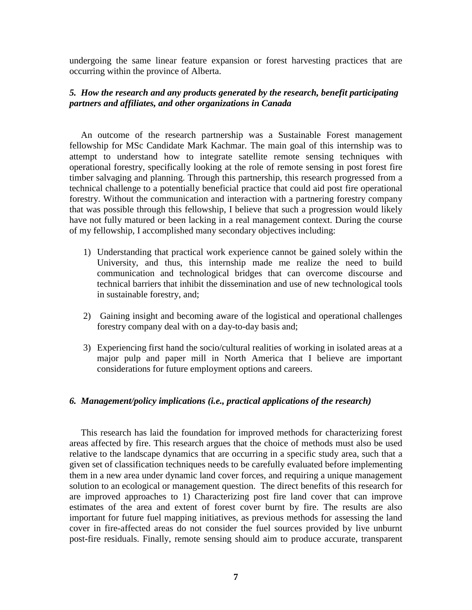undergoing the same linear feature expansion or forest harvesting practices that are occurring within the province of Alberta.

### *5. How the research and any products generated by the research, benefit participating partners and affiliates, and other organizations in Canada*

 An outcome of the research partnership was a Sustainable Forest management fellowship for MSc Candidate Mark Kachmar. The main goal of this internship was to attempt to understand how to integrate satellite remote sensing techniques with operational forestry, specifically looking at the role of remote sensing in post forest fire timber salvaging and planning. Through this partnership, this research progressed from a technical challenge to a potentially beneficial practice that could aid post fire operational forestry. Without the communication and interaction with a partnering forestry company that was possible through this fellowship, I believe that such a progression would likely have not fully matured or been lacking in a real management context. During the course of my fellowship, I accomplished many secondary objectives including:

- 1) Understanding that practical work experience cannot be gained solely within the University, and thus, this internship made me realize the need to build communication and technological bridges that can overcome discourse and technical barriers that inhibit the dissemination and use of new technological tools in sustainable forestry, and;
- 2) Gaining insight and becoming aware of the logistical and operational challenges forestry company deal with on a day-to-day basis and;
- 3) Experiencing first hand the socio/cultural realities of working in isolated areas at a major pulp and paper mill in North America that I believe are important considerations for future employment options and careers.

#### *6. Management/policy implications (i.e., practical applications of the research)*

 This research has laid the foundation for improved methods for characterizing forest areas affected by fire. This research argues that the choice of methods must also be used relative to the landscape dynamics that are occurring in a specific study area, such that a given set of classification techniques needs to be carefully evaluated before implementing them in a new area under dynamic land cover forces, and requiring a unique management solution to an ecological or management question. The direct benefits of this research for are improved approaches to 1) Characterizing post fire land cover that can improve estimates of the area and extent of forest cover burnt by fire. The results are also important for future fuel mapping initiatives, as previous methods for assessing the land cover in fire-affected areas do not consider the fuel sources provided by live unburnt post-fire residuals. Finally, remote sensing should aim to produce accurate, transparent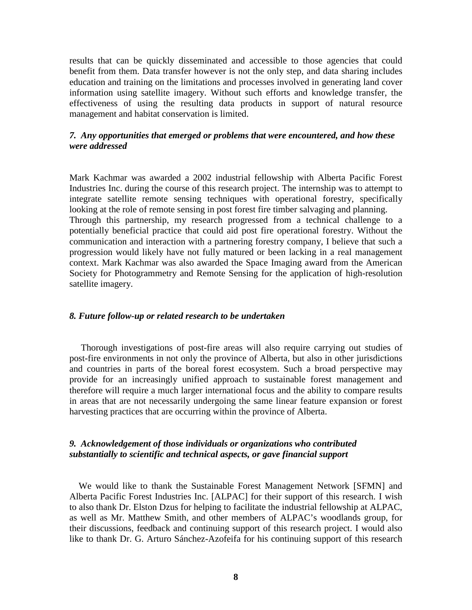results that can be quickly disseminated and accessible to those agencies that could benefit from them. Data transfer however is not the only step, and data sharing includes education and training on the limitations and processes involved in generating land cover information using satellite imagery. Without such efforts and knowledge transfer, the effectiveness of using the resulting data products in support of natural resource management and habitat conservation is limited.

#### *7. Any opportunities that emerged or problems that were encountered, and how these were addressed*

Mark Kachmar was awarded a 2002 industrial fellowship with Alberta Pacific Forest Industries Inc. during the course of this research project. The internship was to attempt to integrate satellite remote sensing techniques with operational forestry, specifically looking at the role of remote sensing in post forest fire timber salvaging and planning. Through this partnership, my research progressed from a technical challenge to a potentially beneficial practice that could aid post fire operational forestry. Without the communication and interaction with a partnering forestry company, I believe that such a progression would likely have not fully matured or been lacking in a real management context. Mark Kachmar was also awarded the Space Imaging award from the American Society for Photogrammetry and Remote Sensing for the application of high-resolution satellite imagery.

#### *8. Future follow-up or related research to be undertaken*

 Thorough investigations of post-fire areas will also require carrying out studies of post-fire environments in not only the province of Alberta, but also in other jurisdictions and countries in parts of the boreal forest ecosystem. Such a broad perspective may provide for an increasingly unified approach to sustainable forest management and therefore will require a much larger international focus and the ability to compare results in areas that are not necessarily undergoing the same linear feature expansion or forest harvesting practices that are occurring within the province of Alberta.

#### *9. Acknowledgement of those individuals or organizations who contributed substantially to scientific and technical aspects, or gave financial support*

 We would like to thank the Sustainable Forest Management Network [SFMN] and Alberta Pacific Forest Industries Inc. [ALPAC] for their support of this research. I wish to also thank Dr. Elston Dzus for helping to facilitate the industrial fellowship at ALPAC, as well as Mr. Matthew Smith, and other members of ALPAC's woodlands group, for their discussions, feedback and continuing support of this research project. I would also like to thank Dr. G. Arturo Sánchez-Azofeifa for his continuing support of this research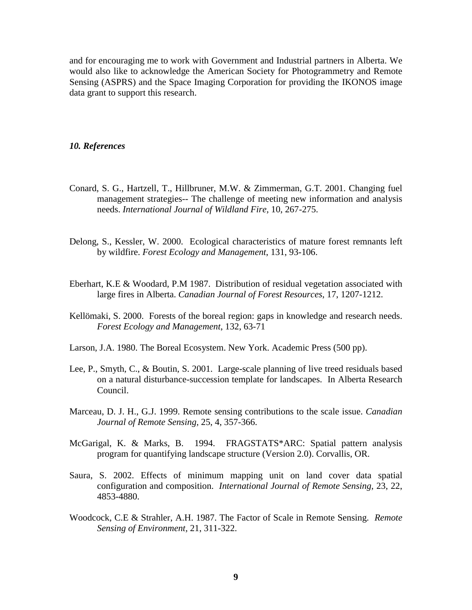and for encouraging me to work with Government and Industrial partners in Alberta. We would also like to acknowledge the American Society for Photogrammetry and Remote Sensing (ASPRS) and the Space Imaging Corporation for providing the IKONOS image data grant to support this research.

#### *10. References*

- Conard, S. G., Hartzell, T., Hillbruner, M.W. & Zimmerman, G.T. 2001. Changing fuel management strategies-- The challenge of meeting new information and analysis needs. *International Journal of Wildland Fire,* 10, 267-275.
- Delong, S., Kessler, W. 2000. Ecological characteristics of mature forest remnants left by wildfire. *Forest Ecology and Management*, 131, 93-106.
- Eberhart, K.E & Woodard, P.M 1987. Distribution of residual vegetation associated with large fires in Alberta. *Canadian Journal of Forest Resources*, 17, 1207-1212.
- Kellömaki, S. 2000. Forests of the boreal region: gaps in knowledge and research needs. *Forest Ecology and Management*, 132, 63-71
- Larson, J.A. 1980. The Boreal Ecosystem. New York. Academic Press (500 pp).
- Lee, P., Smyth, C., & Boutin, S. 2001. Large-scale planning of live treed residuals based on a natural disturbance-succession template for landscapes. In Alberta Research Council.
- Marceau, D. J. H., G.J. 1999. Remote sensing contributions to the scale issue. *Canadian Journal of Remote Sensing,* 25, 4, 357-366.
- McGarigal, K. & Marks, B. 1994. FRAGSTATS\*ARC: Spatial pattern analysis program for quantifying landscape structure (Version 2.0). Corvallis, OR.
- Saura, S. 2002. Effects of minimum mapping unit on land cover data spatial configuration and composition. *International Journal of Remote Sensing*, 23, 22, 4853-4880.
- Woodcock, C.E & Strahler, A.H. 1987. The Factor of Scale in Remote Sensing. *Remote Sensing of Environment,* 21, 311-322.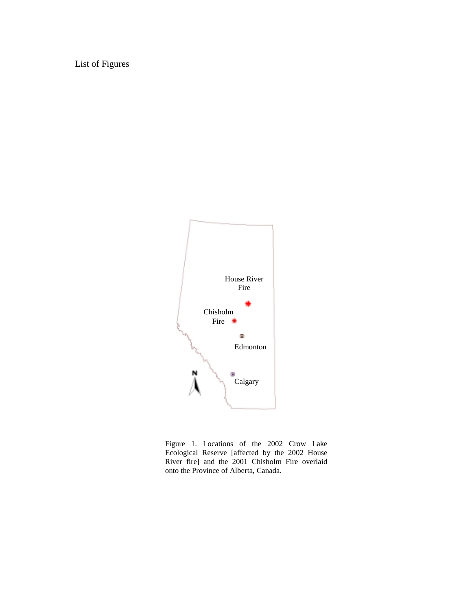List of Figures



Figure 1. Locations of the 2002 Crow Lake Ecological Reserve [affected by the 2002 House River fire] and the 2001 Chisholm Fire overlaid onto the Province of Alberta, Canada.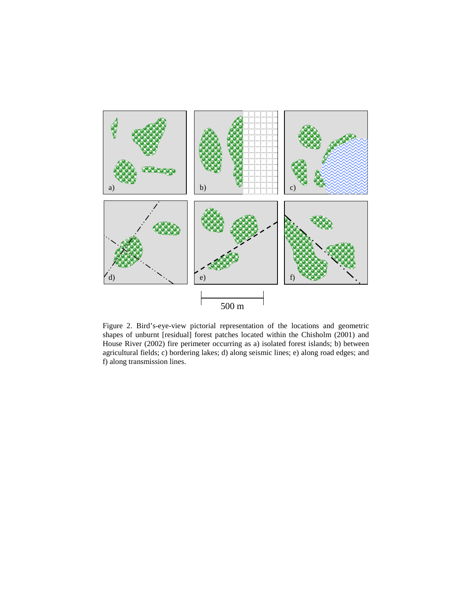

Figure 2. Bird's-eye-view pictorial representation of the locations and geometric shapes of unburnt [residual] forest patches located within the Chisholm (2001) and House River (2002) fire perimeter occurring as a) isolated forest islands; b) between agricultural fields; c) bordering lakes; d) along seismic lines; e) along road edges; and f) along transmission lines.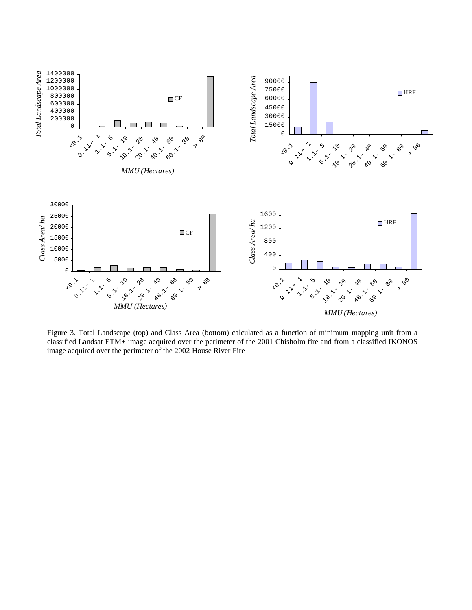

Figure 3. Total Landscape (top) and Class Area (bottom) calculated as a function of minimum mapping unit from a classified Landsat ETM+ image acquired over the perimeter of the 2001 Chisholm fire and from a classified IKONOS image acquired over the perimeter of the 2002 House River Fire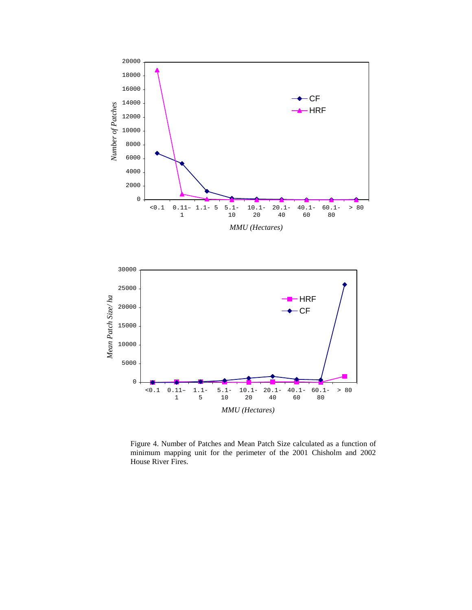



Figure 4. Number of Patches and Mean Patch Size calculated as a function of minimum mapping unit for the perimeter of the 2001 Chisholm and 2002 House River Fires.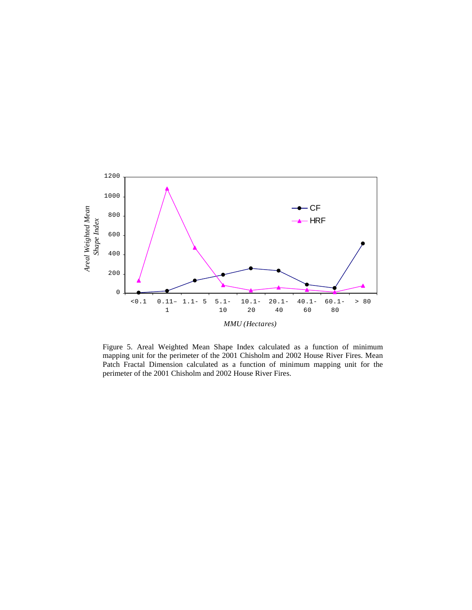

Figure 5. Areal Weighted Mean Shape Index calculated as a function of minimum mapping unit for the perimeter of the 2001 Chisholm and 2002 House River Fires. Mean Patch Fractal Dimension calculated as a function of minimum mapping unit for the perimeter of the 2001 Chisholm and 2002 House River Fires.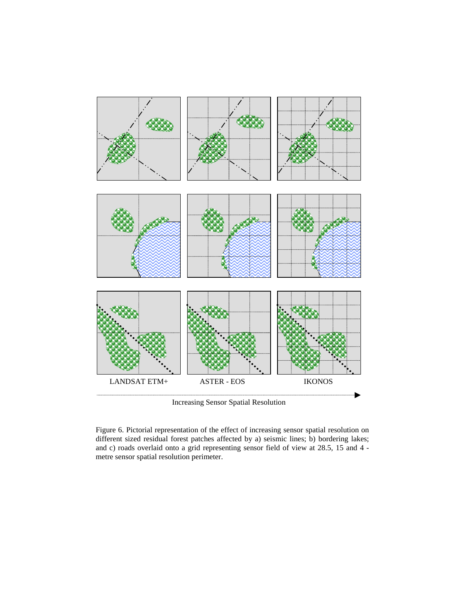

Increasing Sensor Spatial Resolution

Figure 6. Pictorial representation of the effect of increasing sensor spatial resolution on different sized residual forest patches affected by a) seismic lines; b) bordering lakes; and c) roads overlaid onto a grid representing sensor field of view at 28.5, 15 and 4 metre sensor spatial resolution perimeter.